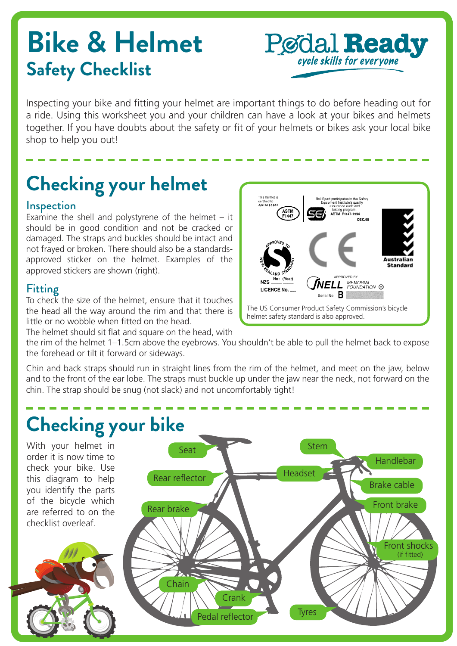# **Bike & Helmet Safety Checklist**



Inspecting your bike and fitting your helmet are important things to do before heading out for a ride. Using this worksheet you and your children can have a look at your bikes and helmets together. If you have doubts about the safety or fit of your helmets or bikes ask your local bike shop to help you out!  $\frac{d}{d\theta}$  and  $\frac{d}{d\theta}$  $\log$ bike

## **Checking your helmet**

#### **Inspection**

Examine the shell and polystyrene of the helmet  $-$  it should be in good condition and not be cracked or damaged. The straps and buckles should be intact and not frayed or broken. There should also be a standardsapproved sticker on the helmet. Examples of the approved stickers are shown (right).

### Fitting

To check the size of the helmet, ensure that it touches the head all the way around the rim and that there is little or no wobble when fitted on the head.

The helmet should sit flat and square on the head, with



the rim of the helmet 1–1.5cm above the eyebrows. You shouldn't be able to pull the helmet back to expose the forehead or tilt it forward or sideways.

Chin and back straps should run in straight lines from the rim of the helmet, and meet on the jaw, below and to the front of the ear lobe. The straps must buckle up under the jaw near the neck, not forward on the chin. The strap should be snug (not slack) and not uncomfortably tight!

### **Checking your bike**

With your helmet in order it is now time to check your bike. Use this diagram to help you identify the parts of the bicycle which are referred to on the checklist overleaf.